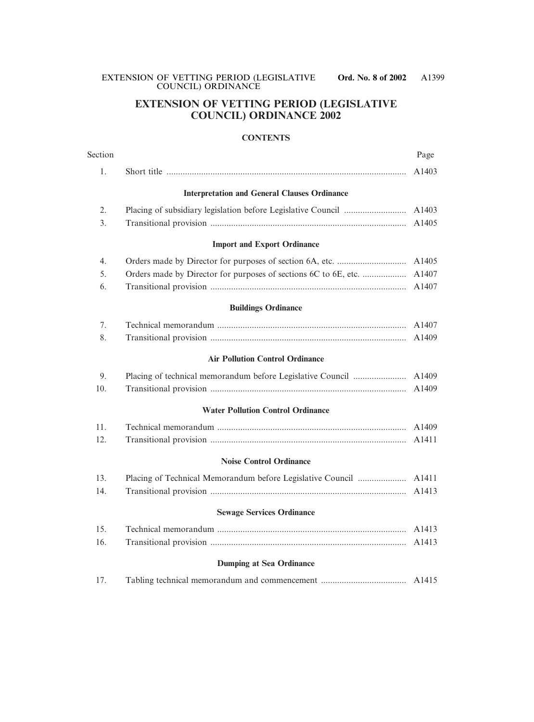# **EXTENSION OF VETTING PERIOD (LEGISLATIVE COUNCIL) ORDINANCE 2002**

#### **CONTENTS**

| Section |                                                     | Page              |
|---------|-----------------------------------------------------|-------------------|
| 1.      |                                                     | A1403             |
|         | <b>Interpretation and General Clauses Ordinance</b> |                   |
| 2.      |                                                     | A1403             |
| 3.      |                                                     | A1405             |
|         | <b>Import and Export Ordinance</b>                  |                   |
| 4.      |                                                     | A1405             |
| 5.      |                                                     | A1407             |
| 6.      |                                                     | A1407             |
|         | <b>Buildings Ordinance</b>                          |                   |
| 7.      |                                                     | A1407             |
| 8.      |                                                     | A1409             |
|         | <b>Air Pollution Control Ordinance</b>              |                   |
| 9.      |                                                     | A1409             |
| 10.     |                                                     | A1409             |
|         | <b>Water Pollution Control Ordinance</b>            |                   |
| 11.     |                                                     | A1409             |
| 12.     |                                                     | A <sub>1411</sub> |
|         | <b>Noise Control Ordinance</b>                      |                   |
| 13.     |                                                     |                   |
| 14.     |                                                     | A1413             |
|         | <b>Sewage Services Ordinance</b>                    |                   |
| 15.     |                                                     | A1413             |
| 16.     |                                                     | A <sub>1413</sub> |
|         | <b>Dumping at Sea Ordinance</b>                     |                   |
| 17.     |                                                     | A <sub>1415</sub> |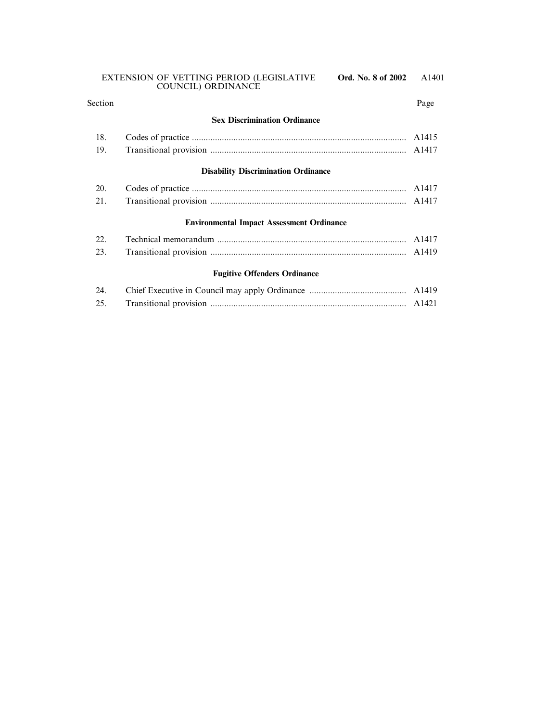| Section |                                                  | Page               |
|---------|--------------------------------------------------|--------------------|
|         | <b>Sex Discrimination Ordinance</b>              |                    |
| 18.     |                                                  | A <sub>14</sub> 15 |
| 19.     |                                                  |                    |
|         | <b>Disability Discrimination Ordinance</b>       |                    |
| 20.     |                                                  | A1417              |
| 21.     |                                                  |                    |
|         | <b>Environmental Impact Assessment Ordinance</b> |                    |
| 22.     |                                                  | A <sub>1417</sub>  |
| 23.     |                                                  |                    |
|         | <b>Fugitive Offenders Ordinance</b>              |                    |
| 24.     |                                                  |                    |

25. Transitional provision ..................................................................................... A1421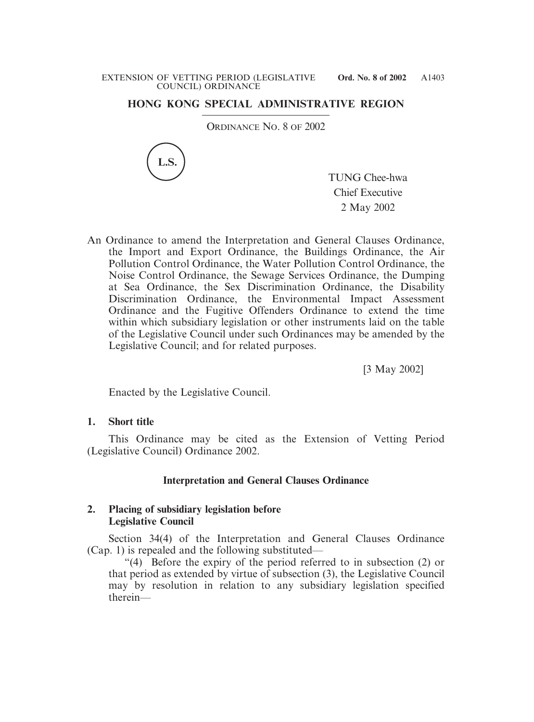# **HONG KONG SPECIAL ADMINISTRATIVE REGION**

ORDINANCE NO. 8 OF 2002



TUNG Chee-hwa Chief Executive 2 May 2002

An Ordinance to amend the Interpretation and General Clauses Ordinance, the Import and Export Ordinance, the Buildings Ordinance, the Air Pollution Control Ordinance, the Water Pollution Control Ordinance, the Noise Control Ordinance, the Sewage Services Ordinance, the Dumping at Sea Ordinance, the Sex Discrimination Ordinance, the Disability Discrimination Ordinance, the Environmental Impact Assessment Ordinance and the Fugitive Offenders Ordinance to extend the time within which subsidiary legislation or other instruments laid on the table of the Legislative Council under such Ordinances may be amended by the Legislative Council; and for related purposes.

[3 May 2002]

Enacted by the Legislative Council.

### **1. Short title**

This Ordinance may be cited as the Extension of Vetting Period (Legislative Council) Ordinance 2002.

### **Interpretation and General Clauses Ordinance**

### **2. Placing of subsidiary legislation before Legislative Council**

Section 34(4) of the Interpretation and General Clauses Ordinance (Cap. 1) is repealed and the following substituted—

"(4) Before the expiry of the period referred to in subsection (2) or that period as extended by virtue of subsection (3), the Legislative Council may by resolution in relation to any subsidiary legislation specified therein—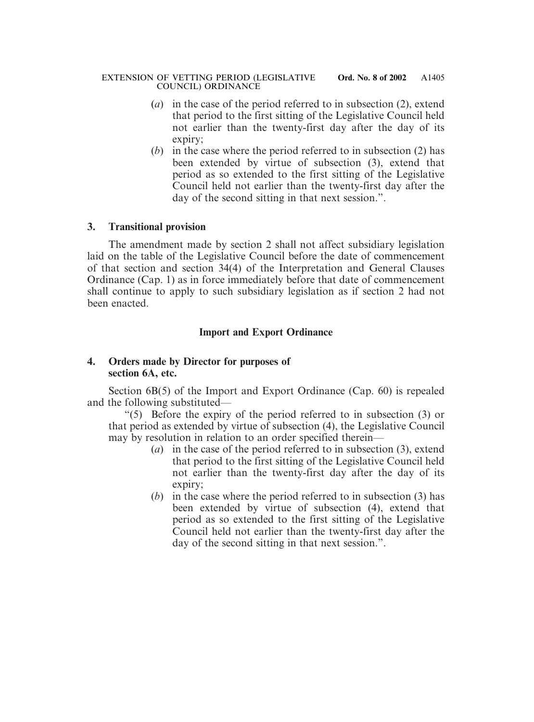- (*a*) in the case of the period referred to in subsection (2), extend that period to the first sitting of the Legislative Council held not earlier than the twenty-first day after the day of its expiry;
- (*b*) in the case where the period referred to in subsection (2) has been extended by virtue of subsection (3), extend that period as so extended to the first sitting of the Legislative Council held not earlier than the twenty-first day after the day of the second sitting in that next session.".

The amendment made by section 2 shall not affect subsidiary legislation laid on the table of the Legislative Council before the date of commencement of that section and section 34(4) of the Interpretation and General Clauses Ordinance (Cap. 1) as in force immediately before that date of commencement shall continue to apply to such subsidiary legislation as if section 2 had not been enacted.

### **Import and Export Ordinance**

### **4. Orders made by Director for purposes of section 6A, etc.**

Section 6B(5) of the Import and Export Ordinance (Cap. 60) is repealed and the following substituted—

"(5) Before the expiry of the period referred to in subsection (3) or that period as extended by virtue of subsection (4), the Legislative Council may by resolution in relation to an order specified therein—

- (*a*) in the case of the period referred to in subsection (3), extend that period to the first sitting of the Legislative Council held not earlier than the twenty-first day after the day of its expiry;
- (*b*) in the case where the period referred to in subsection (3) has been extended by virtue of subsection (4), extend that period as so extended to the first sitting of the Legislative Council held not earlier than the twenty-first day after the day of the second sitting in that next session.".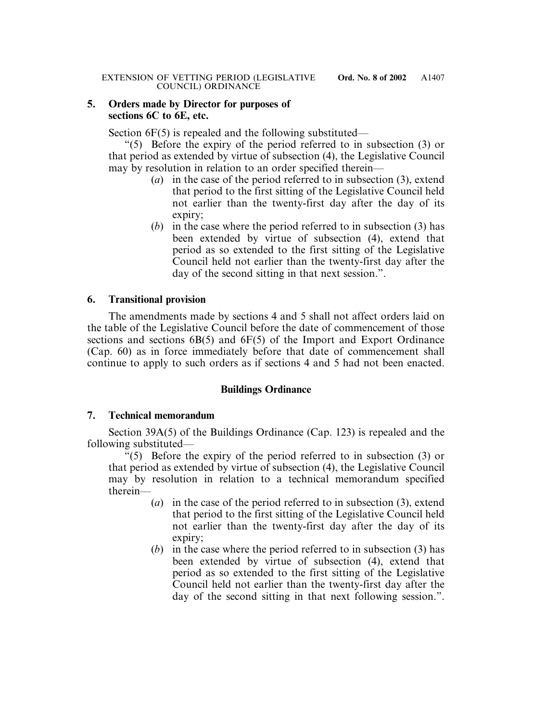#### **5. Orders made by Director for purposes of sections 6C to 6E, etc.**

Section 6F(5) is repealed and the following substituted—

"(5) Before the expiry of the period referred to in subsection (3) or that period as extended by virtue of subsection (4), the Legislative Council may by resolution in relation to an order specified therein—

- (*a*) in the case of the period referred to in subsection (3), extend that period to the first sitting of the Legislative Council held not earlier than the twenty-first day after the day of its expiry;
- (*b*) in the case where the period referred to in subsection (3) has been extended by virtue of subsection (4), extend that period as so extended to the first sitting of the Legislative Council held not earlier than the twenty-first day after the day of the second sitting in that next session.".

### **6. Transitional provision**

The amendments made by sections 4 and 5 shall not affect orders laid on the table of the Legislative Council before the date of commencement of those sections and sections 6B(5) and 6F(5) of the Import and Export Ordinance (Cap. 60) as in force immediately before that date of commencement shall continue to apply to such orders as if sections 4 and 5 had not been enacted.

### **Buildings Ordinance**

### **7. Technical memorandum**

Section 39A(5) of the Buildings Ordinance (Cap. 123) is repealed and the following substituted—

"(5) Before the expiry of the period referred to in subsection (3) or that period as extended by virtue of subsection (4), the Legislative Council may by resolution in relation to a technical memorandum specified therein—

- (*a*) in the case of the period referred to in subsection (3), extend that period to the first sitting of the Legislative Council held not earlier than the twenty-first day after the day of its expiry;
- (*b*) in the case where the period referred to in subsection (3) has been extended by virtue of subsection (4), extend that period as so extended to the first sitting of the Legislative Council held not earlier than the twenty-first day after the day of the second sitting in that next following session.".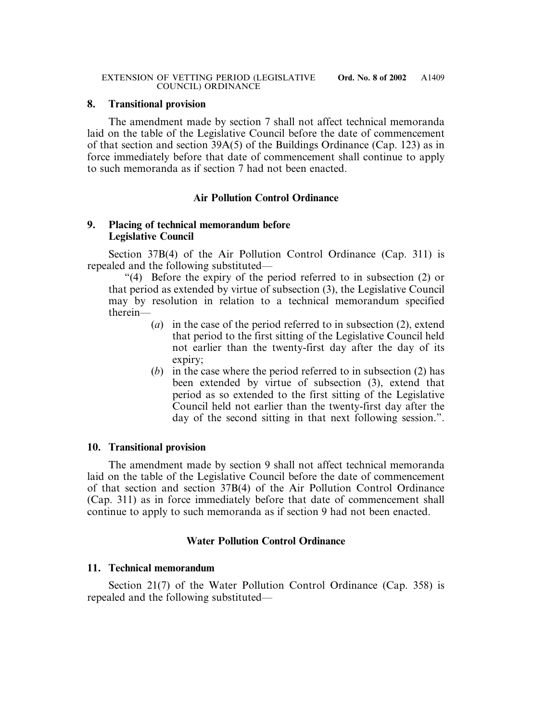The amendment made by section 7 shall not affect technical memoranda laid on the table of the Legislative Council before the date of commencement of that section and section 39A(5) of the Buildings Ordinance (Cap. 123) as in force immediately before that date of commencement shall continue to apply to such memoranda as if section 7 had not been enacted.

# **Air Pollution Control Ordinance**

### **9. Placing of technical memorandum before Legislative Council**

Section 37B(4) of the Air Pollution Control Ordinance (Cap. 311) is repealed and the following substituted—

"(4) Before the expiry of the period referred to in subsection (2) or that period as extended by virtue of subsection (3), the Legislative Council may by resolution in relation to a technical memorandum specified therein—

- (*a*) in the case of the period referred to in subsection (2), extend that period to the first sitting of the Legislative Council held not earlier than the twenty-first day after the day of its expiry;
- (*b*) in the case where the period referred to in subsection (2) has been extended by virtue of subsection (3), extend that period as so extended to the first sitting of the Legislative Council held not earlier than the twenty-first day after the day of the second sitting in that next following session.".

### **10. Transitional provision**

The amendment made by section 9 shall not affect technical memoranda laid on the table of the Legislative Council before the date of commencement of that section and section 37B(4) of the Air Pollution Control Ordinance (Cap. 311) as in force immediately before that date of commencement shall continue to apply to such memoranda as if section 9 had not been enacted.

# **Water Pollution Control Ordinance**

### **11. Technical memorandum**

Section 21(7) of the Water Pollution Control Ordinance (Cap. 358) is repealed and the following substituted—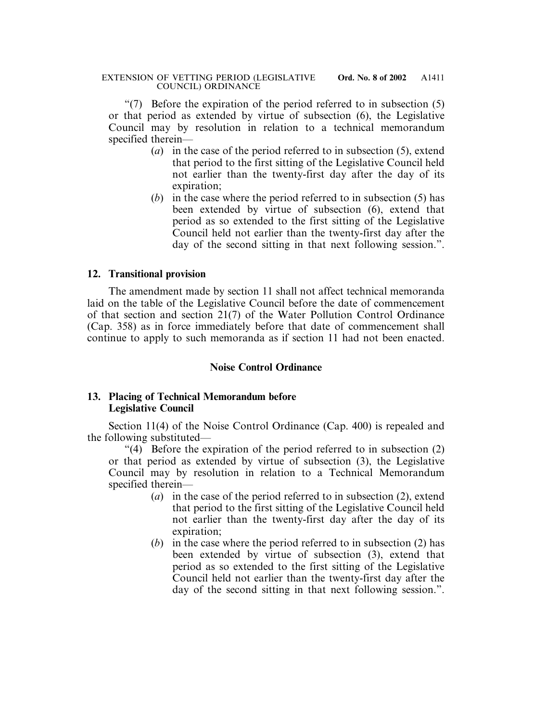"(7) Before the expiration of the period referred to in subsection (5) or that period as extended by virtue of subsection (6), the Legislative Council may by resolution in relation to a technical memorandum specified therein—

- (*a*) in the case of the period referred to in subsection (5), extend that period to the first sitting of the Legislative Council held not earlier than the twenty-first day after the day of its expiration;
- (*b*) in the case where the period referred to in subsection (5) has been extended by virtue of subsection (6), extend that period as so extended to the first sitting of the Legislative Council held not earlier than the twenty-first day after the day of the second sitting in that next following session.".

### **12. Transitional provision**

The amendment made by section 11 shall not affect technical memoranda laid on the table of the Legislative Council before the date of commencement of that section and section 21(7) of the Water Pollution Control Ordinance (Cap. 358) as in force immediately before that date of commencement shall continue to apply to such memoranda as if section 11 had not been enacted.

### **Noise Control Ordinance**

### **13. Placing of Technical Memorandum before Legislative Council**

Section 11(4) of the Noise Control Ordinance (Cap. 400) is repealed and the following substituted—

"(4) Before the expiration of the period referred to in subsection (2) or that period as extended by virtue of subsection (3), the Legislative Council may by resolution in relation to a Technical Memorandum specified therein—

- (*a*) in the case of the period referred to in subsection (2), extend that period to the first sitting of the Legislative Council held not earlier than the twenty-first day after the day of its expiration;
- (*b*) in the case where the period referred to in subsection (2) has been extended by virtue of subsection (3), extend that period as so extended to the first sitting of the Legislative Council held not earlier than the twenty-first day after the day of the second sitting in that next following session.".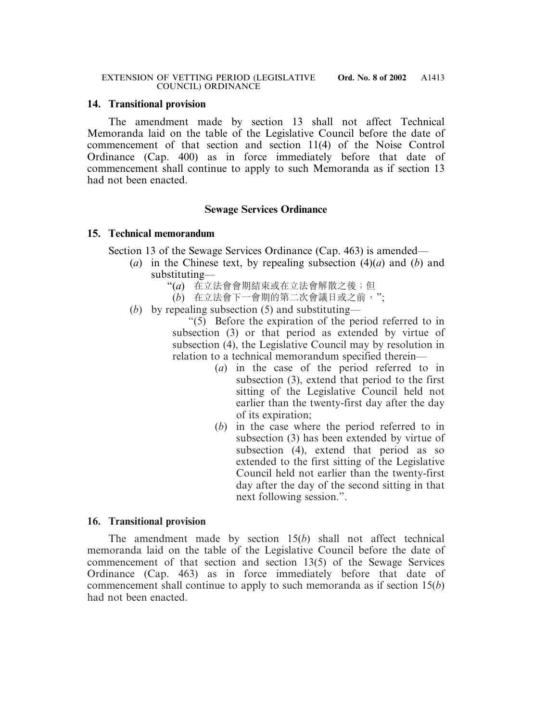The amendment made by section 13 shall not affect Technical Memoranda laid on the table of the Legislative Council before the date of commencement of that section and section 11(4) of the Noise Control Ordinance (Cap. 400) as in force immediately before that date of commencement shall continue to apply to such Memoranda as if section 13 had not been enacted.

### **Sewage Services Ordinance**

#### **15. Technical memorandum**

Section 13 of the Sewage Services Ordinance (Cap. 463) is amended—

- (*a*) in the Chinese text, by repealing subsection (4)(*a*) and (*b*) and substituting—
	- "(*a*) 在立法會會期結束或在立法會解散之後;但
	- (*b*) 在立法會下一會期的第二次會議日或之前,";
- (*b*) by repealing subsection (5) and substituting—

"(5) Before the expiration of the period referred to in subsection (3) or that period as extended by virtue of subsection (4), the Legislative Council may by resolution in relation to a technical memorandum specified therein—

- (*a*) in the case of the period referred to in subsection (3), extend that period to the first sitting of the Legislative Council held not earlier than the twenty-first day after the day of its expiration;
- (*b*) in the case where the period referred to in subsection (3) has been extended by virtue of subsection (4), extend that period as so extended to the first sitting of the Legislative Council held not earlier than the twenty-first day after the day of the second sitting in that next following session.".

### **16. Transitional provision**

The amendment made by section 15(*b*) shall not affect technical memoranda laid on the table of the Legislative Council before the date of commencement of that section and section 13(5) of the Sewage Services Ordinance (Cap. 463) as in force immediately before that date of commencement shall continue to apply to such memoranda as if section 15(*b*) had not been enacted.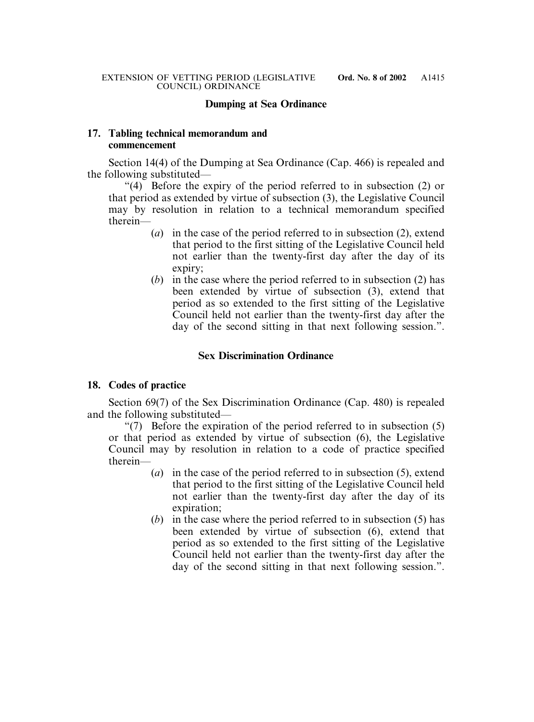### **Dumping at Sea Ordinance**

### **17. Tabling technical memorandum and commencement**

Section 14(4) of the Dumping at Sea Ordinance (Cap. 466) is repealed and the following substituted—

"(4) Before the expiry of the period referred to in subsection (2) or that period as extended by virtue of subsection (3), the Legislative Council may by resolution in relation to a technical memorandum specified therein—

- (*a*) in the case of the period referred to in subsection (2), extend that period to the first sitting of the Legislative Council held not earlier than the twenty-first day after the day of its expiry;
- (*b*) in the case where the period referred to in subsection (2) has been extended by virtue of subsection (3), extend that period as so extended to the first sitting of the Legislative Council held not earlier than the twenty-first day after the day of the second sitting in that next following session.".

### **Sex Discrimination Ordinance**

### **18. Codes of practice**

Section 69(7) of the Sex Discrimination Ordinance (Cap. 480) is repealed and the following substituted—

"(7) Before the expiration of the period referred to in subsection (5) or that period as extended by virtue of subsection (6), the Legislative Council may by resolution in relation to a code of practice specified therein—

- (*a*) in the case of the period referred to in subsection (5), extend that period to the first sitting of the Legislative Council held not earlier than the twenty-first day after the day of its expiration;
- (*b*) in the case where the period referred to in subsection (5) has been extended by virtue of subsection (6), extend that period as so extended to the first sitting of the Legislative Council held not earlier than the twenty-first day after the day of the second sitting in that next following session.".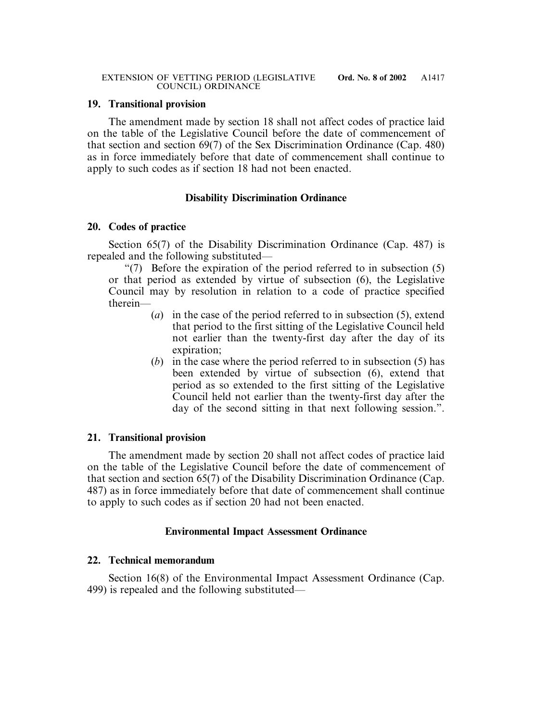The amendment made by section 18 shall not affect codes of practice laid on the table of the Legislative Council before the date of commencement of that section and section 69(7) of the Sex Discrimination Ordinance (Cap. 480) as in force immediately before that date of commencement shall continue to apply to such codes as if section 18 had not been enacted.

### **Disability Discrimination Ordinance**

### **20. Codes of practice**

Section 65(7) of the Disability Discrimination Ordinance (Cap. 487) is repealed and the following substituted—

"(7) Before the expiration of the period referred to in subsection (5) or that period as extended by virtue of subsection (6), the Legislative Council may by resolution in relation to a code of practice specified therein—

- (*a*) in the case of the period referred to in subsection (5), extend that period to the first sitting of the Legislative Council held not earlier than the twenty-first day after the day of its expiration;
- (*b*) in the case where the period referred to in subsection (5) has been extended by virtue of subsection (6), extend that period as so extended to the first sitting of the Legislative Council held not earlier than the twenty-first day after the day of the second sitting in that next following session.".

# **21. Transitional provision**

The amendment made by section 20 shall not affect codes of practice laid on the table of the Legislative Council before the date of commencement of that section and section 65(7) of the Disability Discrimination Ordinance (Cap. 487) as in force immediately before that date of commencement shall continue to apply to such codes as if section 20 had not been enacted.

### **Environmental Impact Assessment Ordinance**

### **22. Technical memorandum**

Section 16(8) of the Environmental Impact Assessment Ordinance (Cap. 499) is repealed and the following substituted—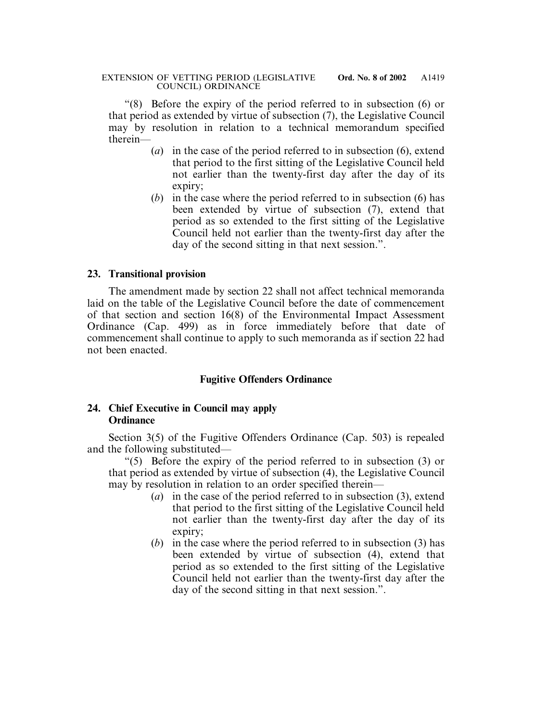"(8) Before the expiry of the period referred to in subsection (6) or that period as extended by virtue of subsection (7), the Legislative Council may by resolution in relation to a technical memorandum specified therein—

- (*a*) in the case of the period referred to in subsection (6), extend that period to the first sitting of the Legislative Council held not earlier than the twenty-first day after the day of its expiry;
- (*b*) in the case where the period referred to in subsection (6) has been extended by virtue of subsection (7), extend that period as so extended to the first sitting of the Legislative Council held not earlier than the twenty-first day after the day of the second sitting in that next session.".

### **23. Transitional provision**

The amendment made by section 22 shall not affect technical memoranda laid on the table of the Legislative Council before the date of commencement of that section and section 16(8) of the Environmental Impact Assessment Ordinance (Cap. 499) as in force immediately before that date of commencement shall continue to apply to such memoranda as if section 22 had not been enacted.

# **Fugitive Offenders Ordinance**

### **24. Chief Executive in Council may apply Ordinance**

Section 3(5) of the Fugitive Offenders Ordinance (Cap. 503) is repealed and the following substituted—

"(5) Before the expiry of the period referred to in subsection (3) or that period as extended by virtue of subsection (4), the Legislative Council may by resolution in relation to an order specified therein—

- (*a*) in the case of the period referred to in subsection (3), extend that period to the first sitting of the Legislative Council held not earlier than the twenty-first day after the day of its expiry;
- (*b*) in the case where the period referred to in subsection (3) has been extended by virtue of subsection (4), extend that period as so extended to the first sitting of the Legislative Council held not earlier than the twenty-first day after the day of the second sitting in that next session.".